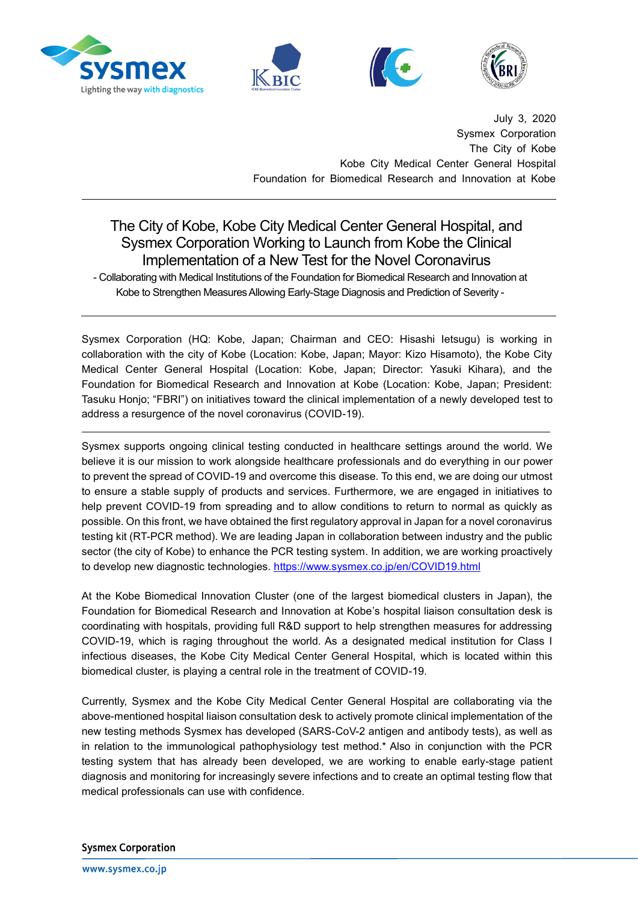







July 3, 2020 Sysmex Corporation The City of Kobe Kobe City Medical Center General Hospital Foundation for Biomedical Research and Innovation at Kobe

## The City of Kobe, Kobe City Medical Center General Hospital, and Sysmex Corporation Working to Launch from Kobe the Clinical Implementation of a New Test for the Novel Coronavirus

- Collaborating with Medical Institutions of the Foundation for Biomedical Research and Innovation at Kobe to Strengthen Measures Allowing Early-Stage Diagnosis and Prediction of Severity -

Sysmex Corporation (HQ: Kobe, Japan; Chairman and CEO: Hisashi Ietsugu) is working in collaboration with the city of Kobe (Location: Kobe, Japan; Mayor: Kizo Hisamoto), the Kobe City Medical Center General Hospital (Location: Kobe, Japan; Director: Yasuki Kihara), and the Foundation for Biomedical Research and Innovation at Kobe (Location: Kobe, Japan; President: Tasuku Honjo; "FBRI") on initiatives toward the clinical implementation of a newly developed test to address a resurgence of the novel coronavirus (COVID-19).

Sysmex supports ongoing clinical testing conducted in healthcare settings around the world. We believe it is our mission to work alongside healthcare professionals and do everything in our power to prevent the spread of COVID-19 and overcome this disease. To this end, we are doing our utmost to ensure a stable supply of products and services. Furthermore, we are engaged in initiatives to help prevent COVID-19 from spreading and to allow conditions to return to normal as quickly as possible. On this front, we have obtained the first regulatory approval in Japan for a novel coronavirus testing kit (RT-PCR method). We are leading Japan in collaboration between industry and the public sector (the city of Kobe) to enhance the PCR testing system. In addition, we are working proactively to develop new diagnostic technologies. <https://www.sysmex.co.jp/en/COVID19.html>

At the Kobe Biomedical Innovation Cluster (one of the largest biomedical clusters in Japan), the Foundation for Biomedical Research and Innovation at Kobe's hospital liaison consultation desk is coordinating with hospitals, providing full R&D support to help strengthen measures for addressing COVID-19, which is raging throughout the world. As a designated medical institution for Class I infectious diseases, the Kobe City Medical Center General Hospital, which is located within this biomedical cluster, is playing a central role in the treatment of COVID-19.

Currently, Sysmex and the Kobe City Medical Center General Hospital are collaborating via the above-mentioned hospital liaison consultation desk to actively promote clinical implementation of the new testing methods Sysmex has developed (SARS-CoV-2 antigen and antibody tests), as well as in relation to the immunological pathophysiology test method.\* Also in conjunction with the PCR testing system that has already been developed, we are working to enable early-stage patient diagnosis and monitoring for increasingly severe infections and to create an optimal testing flow that medical professionals can use with confidence.

**Sysmex Corporation**